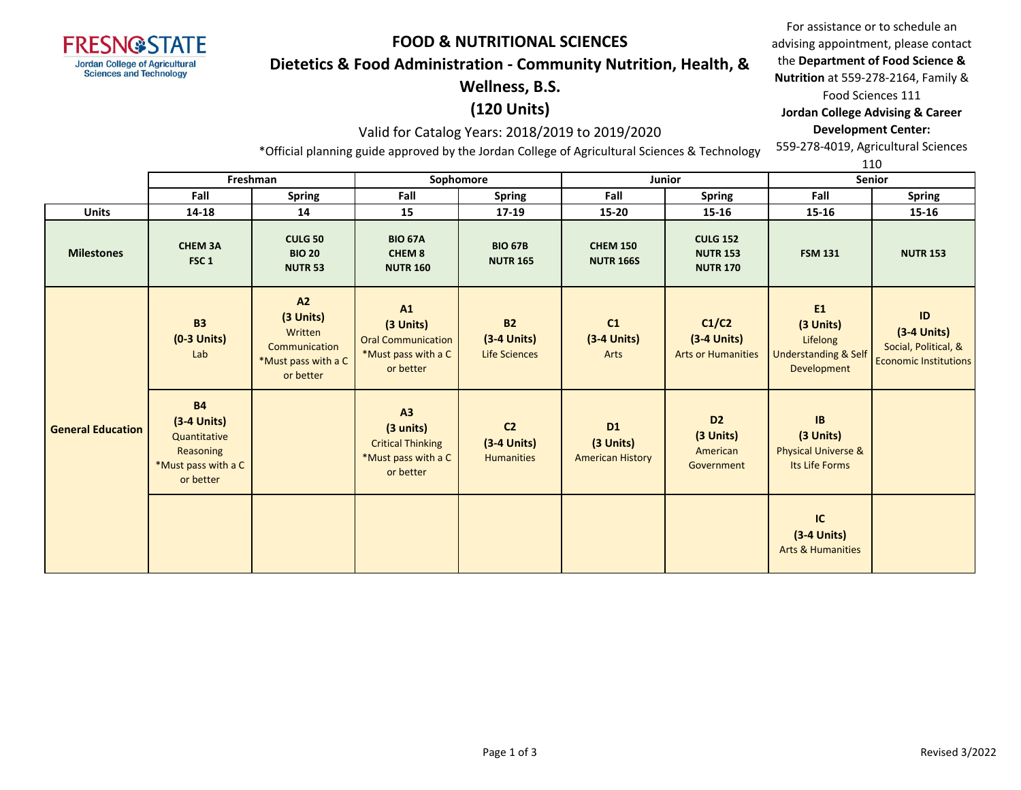

#### **Dietetics & Food Administration - Community Nutrition, Health, &**

# **Wellness, B.S.**

# **(120 Units)**

### Valid for Catalog Years: 2018/2019 to 2019/2020

\*Official planning guide approved by the Jordan College of Agricultural Sciences & Technology

For assistance or to schedule an advising appointment, please contact the **Department of Food Science & Nutrition** at 559-278-2164, Family & Food Sciences 111 **Jordan College Advising & Career** 

**Development Center:**

559-278-4019, Agricultural Sciences

|  |                          |                                                                                             |                                                                                 |                                                                                  |                                                      |                                                   |                                                       |                                                                                           | 110                                                                         |
|--|--------------------------|---------------------------------------------------------------------------------------------|---------------------------------------------------------------------------------|----------------------------------------------------------------------------------|------------------------------------------------------|---------------------------------------------------|-------------------------------------------------------|-------------------------------------------------------------------------------------------|-----------------------------------------------------------------------------|
|  |                          |                                                                                             | Freshman                                                                        | Sophomore<br><b>Junior</b>                                                       |                                                      |                                                   |                                                       |                                                                                           | <b>Senior</b>                                                               |
|  |                          | Fall                                                                                        | Spring                                                                          | Fall                                                                             | <b>Spring</b>                                        | Fall                                              | <b>Spring</b>                                         | Fall                                                                                      | <b>Spring</b>                                                               |
|  | <b>Units</b>             | 14-18                                                                                       | 14                                                                              | 15                                                                               | 17-19                                                | 15-20                                             | 15-16                                                 | 15-16                                                                                     | 15-16                                                                       |
|  | <b>Milestones</b>        | <b>CHEM 3A</b><br>FSC <sub>1</sub>                                                          | <b>CULG 50</b><br><b>BIO 20</b><br><b>NUTR 53</b>                               | <b>BIO 67A</b><br>CHEM <sub>8</sub><br><b>NUTR 160</b>                           | <b>BIO 67B</b><br><b>NUTR 165</b>                    | <b>CHEM 150</b><br><b>NUTR 166S</b>               | <b>CULG 152</b><br><b>NUTR 153</b><br><b>NUTR 170</b> | <b>FSM 131</b>                                                                            | <b>NUTR 153</b>                                                             |
|  | <b>General Education</b> | <b>B3</b><br>$(0-3$ Units)<br>Lab                                                           | A2<br>(3 Units)<br>Written<br>Communication<br>*Must pass with a C<br>or better | A1<br>(3 Units)<br><b>Oral Communication</b><br>*Must pass with a C<br>or better | <b>B2</b><br>$(3-4$ Units)<br><b>Life Sciences</b>   | C1<br>$(3-4$ Units)<br>Arts                       | C1/C2<br>$(3-4$ Units)<br><b>Arts or Humanities</b>   | E <sub>1</sub><br>(3 Units)<br>Lifelong<br><b>Understanding &amp; Self</b><br>Development | ID<br>$(3-4$ Units)<br>Social, Political, &<br><b>Economic Institutions</b> |
|  |                          | <b>B4</b><br>$(3-4$ Units)<br>Quantitative<br>Reasoning<br>*Must pass with a C<br>or better |                                                                                 | A3<br>(3 units)<br><b>Critical Thinking</b><br>*Must pass with a C<br>or better  | C <sub>2</sub><br>$(3-4$ Units)<br><b>Humanities</b> | <b>D1</b><br>(3 Units)<br><b>American History</b> | D <sub>2</sub><br>(3 Units)<br>American<br>Government | IB<br>(3 Units)<br><b>Physical Universe &amp;</b><br>Its Life Forms                       |                                                                             |
|  |                          |                                                                                             |                                                                                 |                                                                                  |                                                      |                                                   |                                                       | IC<br>$(3-4$ Units)<br><b>Arts &amp; Humanities</b>                                       |                                                                             |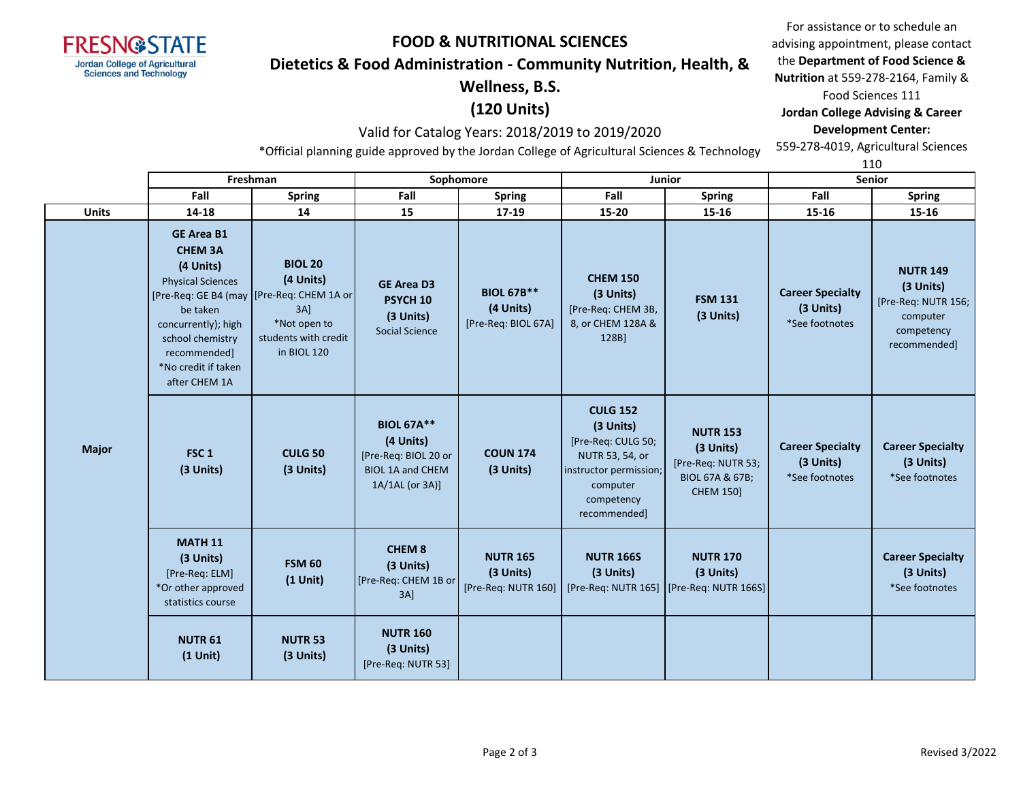

#### **Dietetics & Food Administration - Community Nutrition, Health, &**

# **Wellness, B.S.**

# **(120 Units)**

### Valid for Catalog Years: 2018/2019 to 2019/2020

\*Official planning guide approved by the Jordan College of Agricultural Sciences & Technology

For assistance or to schedule an advising appointment, please contact the **Department of Food Science & Nutrition** at 559-278-2164, Family & Food Sciences 111 **Jordan College Advising & Career** 

**Development Center:** 559-278-4019, Agricultural Sciences 110

|              |                                                                                                                                                                                             | Freshman<br>Sophomore<br>Junior                                                                                                         |                                                                                                      | <b>Senior</b>                                         |                                                                                                                                           |                                                                                           |                                                        |                                                                                               |
|--------------|---------------------------------------------------------------------------------------------------------------------------------------------------------------------------------------------|-----------------------------------------------------------------------------------------------------------------------------------------|------------------------------------------------------------------------------------------------------|-------------------------------------------------------|-------------------------------------------------------------------------------------------------------------------------------------------|-------------------------------------------------------------------------------------------|--------------------------------------------------------|-----------------------------------------------------------------------------------------------|
|              | Fall                                                                                                                                                                                        | <b>Spring</b>                                                                                                                           | Fall<br>Fall<br><b>Spring</b><br><b>Spring</b>                                                       |                                                       | Fall                                                                                                                                      | <b>Spring</b>                                                                             |                                                        |                                                                                               |
| <b>Units</b> | 14-18                                                                                                                                                                                       | 14                                                                                                                                      | 15                                                                                                   | 17-19                                                 | 15-20                                                                                                                                     | 15-16                                                                                     | 15-16                                                  | 15-16                                                                                         |
|              | <b>GE Area B1</b><br><b>CHEM 3A</b><br>(4 Units)<br><b>Physical Sciences</b><br>be taken<br>concurrently); high<br>school chemistry<br>recommended]<br>*No credit if taken<br>after CHEM 1A | <b>BIOL 20</b><br>(4 Units)<br>[Pre-Req: GE B4 (may   [Pre-Req: CHEM 1A or<br>3A<br>*Not open to<br>students with credit<br>in BIOL 120 | <b>GE Area D3</b><br>PSYCH <sub>10</sub><br>(3 Units)<br><b>Social Science</b>                       | <b>BIOL 67B**</b><br>(4 Units)<br>[Pre-Req: BIOL 67A] | <b>CHEM 150</b><br>(3 Units)<br>[Pre-Req: CHEM 3B,<br>8, or CHEM 128A &<br>128B]                                                          | <b>FSM 131</b><br>(3 Units)                                                               | <b>Career Specialty</b><br>(3 Units)<br>*See footnotes | <b>NUTR 149</b><br>(3 Units)<br>[Pre-Req: NUTR 156;<br>computer<br>competency<br>recommended] |
| <b>Major</b> | FSC <sub>1</sub><br>(3 Units)                                                                                                                                                               | <b>CULG 50</b><br>(3 Units)                                                                                                             | <b>BIOL 67A**</b><br>(4 Units)<br>[Pre-Req: BIOL 20 or<br><b>BIOL 1A and CHEM</b><br>1A/1AL (or 3A)] | <b>COUN 174</b><br>(3 Units)                          | <b>CULG 152</b><br>(3 Units)<br>[Pre-Req: CULG 50;<br>NUTR 53, 54, or<br>instructor permission;<br>computer<br>competency<br>recommended] | <b>NUTR 153</b><br>(3 Units)<br>[Pre-Req: NUTR 53;<br>BIOL 67A & 67B;<br><b>CHEM 150]</b> | <b>Career Specialty</b><br>(3 Units)<br>*See footnotes | <b>Career Specialty</b><br>(3 Units)<br>*See footnotes                                        |
|              | <b>MATH 11</b><br>(3 Units)<br>[Pre-Req: ELM]<br>*Or other approved<br>statistics course                                                                                                    | <b>FSM 60</b><br>$(1$ Unit)                                                                                                             | <b>CHEM 8</b><br>(3 Units)<br>[Pre-Req: CHEM 1B or<br>$3A$ ]                                         | <b>NUTR 165</b><br>(3 Units)<br>[Pre-Req: NUTR 160]   | <b>NUTR 166S</b><br>(3 Units)                                                                                                             | <b>NUTR 170</b><br>(3 Units)<br>[Pre-Req: NUTR 165] [Pre-Req: NUTR 166S]                  |                                                        | <b>Career Specialty</b><br>(3 Units)<br>*See footnotes                                        |
|              | <b>NUTR 61</b><br>$(1$ Unit)                                                                                                                                                                | <b>NUTR 53</b><br>(3 Units)                                                                                                             | <b>NUTR 160</b><br>(3 Units)<br>[Pre-Req: NUTR 53]                                                   |                                                       |                                                                                                                                           |                                                                                           |                                                        |                                                                                               |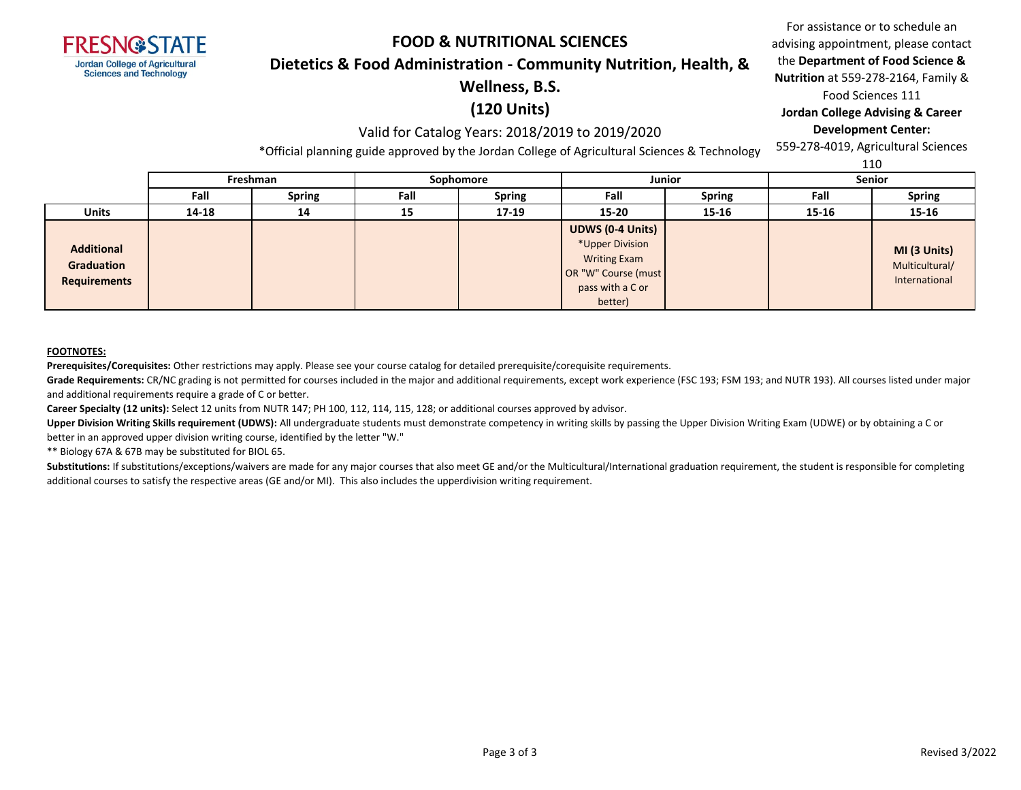

#### **Dietetics & Food Administration - Community Nutrition, Health, &**

# **Wellness, B.S.**

# **(120 Units)**

### Valid for Catalog Years: 2018/2019 to 2019/2020

\*Official planning guide approved by the Jordan College of Agricultural Sciences & Technology

For assistance or to schedule an advising appointment, please contact the **Department of Food Science & Nutrition** at 559-278-2164, Family & Food Sciences 111 **Jordan College Advising & Career** 

#### **Development Center:**

559-278-4019, Agricultural Sciences

|                                                        |       | .             |      |               | a basilik shine she she she are to be a she was a shear to share the shear of the shear of the shear of the sh          |               |               | 110                                             |
|--------------------------------------------------------|-------|---------------|------|---------------|-------------------------------------------------------------------------------------------------------------------------|---------------|---------------|-------------------------------------------------|
|                                                        |       | Freshman      |      | Sophomore     | Junior                                                                                                                  |               | <b>Senior</b> |                                                 |
|                                                        | Fall  | <b>Spring</b> | Fall | <b>Spring</b> | Fall                                                                                                                    | <b>Spring</b> | Fall          | <b>Spring</b>                                   |
| <b>Units</b>                                           | 14-18 | 14            | 15   | $17-19$       | 15-20                                                                                                                   | $15 - 16$     | 15-16         | 15-16                                           |
| <b>Additional</b><br><b>Graduation</b><br>Requirements |       |               |      |               | <b>UDWS (0-4 Units)</b><br>*Upper Division<br><b>Writing Exam</b><br>OR "W" Course (must<br>pass with a C or<br>better) |               |               | MI (3 Units)<br>Multicultural/<br>International |

#### **FOOTNOTES:**

**Prerequisites/Corequisites:** Other restrictions may apply. Please see your course catalog for detailed prerequisite/corequisite requirements.

Grade Requirements: CR/NC grading is not permitted for courses included in the major and additional requirements, except work experience (FSC 193; FSM 193; and NUTR 193). All courses listed under major and additional requirements require a grade of C or better.

**Career Specialty (12 units):** Select 12 units from NUTR 147; PH 100, 112, 114, 115, 128; or additional courses approved by advisor.

Upper Division Writing Skills requirement (UDWS): All undergraduate students must demonstrate competency in writing skills by passing the Upper Division Writing Exam (UDWE) or by obtaining a C or better in an approved upper division writing course, identified by the letter "W."

\*\* Biology 67A & 67B may be substituted for BIOL 65.

Substitutions: If substitutions/exceptions/waivers are made for any major courses that also meet GE and/or the Multicultural/International graduation requirement, the student is responsible for completing additional courses to satisfy the respective areas (GE and/or MI). This also includes the upperdivision writing requirement.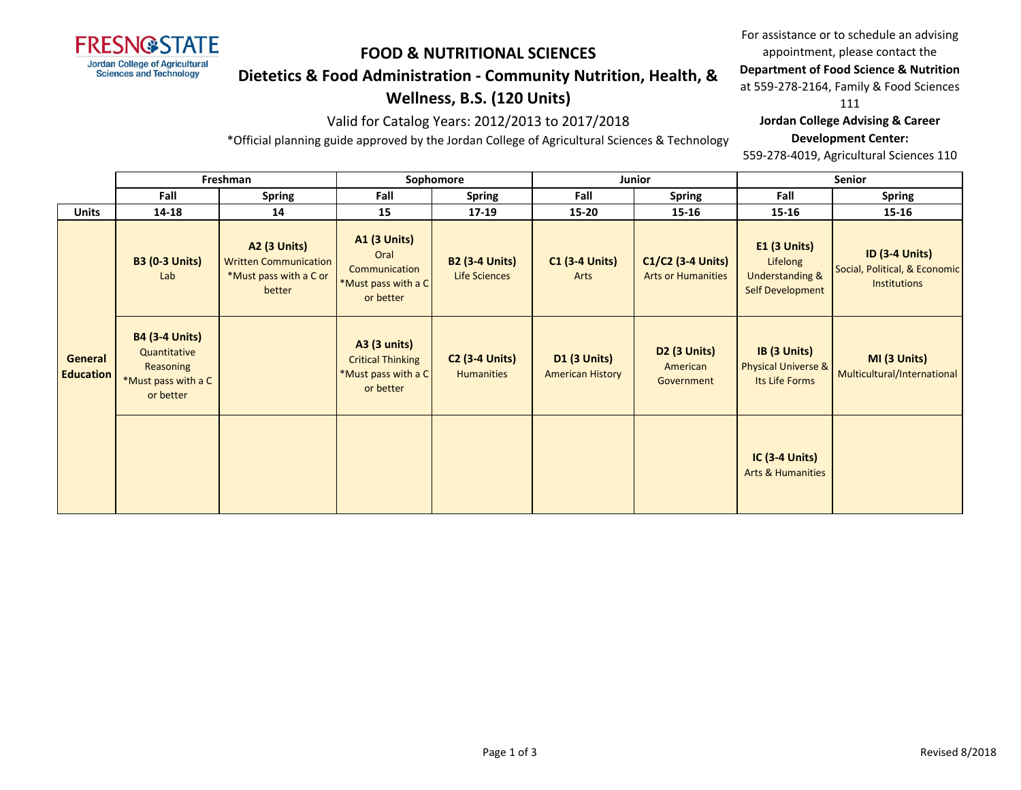

### **Dietetics & Food Administration - Community Nutrition, Health, &**

## **Wellness, B.S. (120 Units)**

### Valid for Catalog Years: 2012/2013 to 2017/2018

\*Official planning guide approved by the Jordan College of Agricultural Sciences & Technology

For assistance or to schedule an advising appointment, please contact the

**Department of Food Science & Nutrition** 

at 559-278-2164, Family & Food Sciences

111

#### **Jordan College Advising & Career**

#### **Development Center:**

559-278-4019, Agricultural Sciences 110

|                             | Freshman                                                                               |                                                                                         | Sophomore                                                                           |                                            |                                                | Junior                                           | <b>Senior</b>                                                                            |                                                                        |  |
|-----------------------------|----------------------------------------------------------------------------------------|-----------------------------------------------------------------------------------------|-------------------------------------------------------------------------------------|--------------------------------------------|------------------------------------------------|--------------------------------------------------|------------------------------------------------------------------------------------------|------------------------------------------------------------------------|--|
|                             | Fall                                                                                   | <b>Spring</b>                                                                           | Fall                                                                                | <b>Spring</b>                              | Fall                                           | Spring                                           | Fall                                                                                     | <b>Spring</b>                                                          |  |
| <b>Units</b>                | 14-18                                                                                  | 14                                                                                      | 15                                                                                  | $17-19$                                    | $15 - 20$                                      | 15-16                                            | 15-16                                                                                    | 15-16                                                                  |  |
|                             | <b>B3 (0-3 Units)</b><br>Lab                                                           | <b>A2 (3 Units)</b><br><b>Written Communication</b><br>*Must pass with a C or<br>better | <b>A1 (3 Units)</b><br>Oral<br>Communication<br>*Must pass with a C<br>or better    | <b>B2 (3-4 Units)</b><br>Life Sciences     | <b>C1 (3-4 Units)</b><br>Arts                  | $C1/C2$ (3-4 Units)<br><b>Arts or Humanities</b> | <b>E1 (3 Units)</b><br>Lifelong<br><b>Understanding &amp;</b><br><b>Self Development</b> | <b>ID (3-4 Units)</b><br>Social, Political, & Economic<br>Institutions |  |
| General<br><b>Education</b> | <b>B4 (3-4 Units)</b><br>Quantitative<br>Reasoning<br>*Must pass with a C<br>or better |                                                                                         | <b>A3 (3 units)</b><br><b>Critical Thinking</b><br>*Must pass with a C<br>or better | <b>C2 (3-4 Units)</b><br><b>Humanities</b> | <b>D1 (3 Units)</b><br><b>American History</b> | D2 (3 Units)<br>American<br>Government           | IB (3 Units)<br>Physical Universe &<br>Its Life Forms                                    | MI (3 Units)<br>Multicultural/International                            |  |
|                             |                                                                                        |                                                                                         |                                                                                     |                                            |                                                |                                                  | $IC(3-4 Units)$<br><b>Arts &amp; Humanities</b>                                          |                                                                        |  |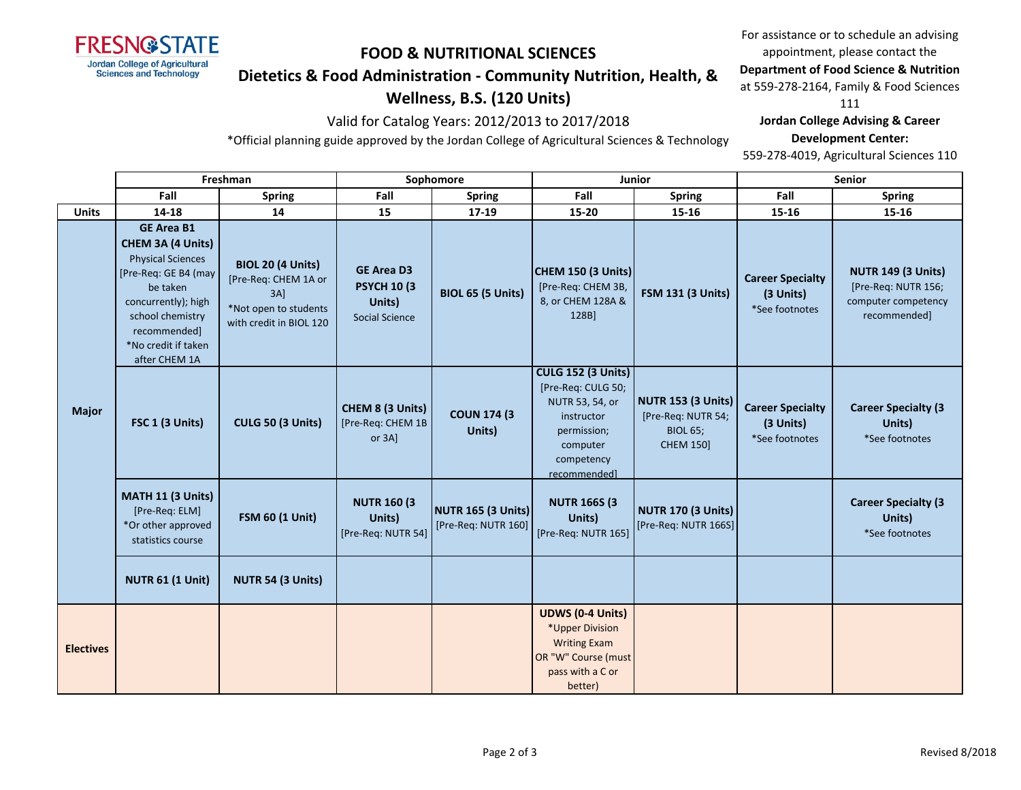

### **Dietetics & Food Administration - Community Nutrition, Health, &**

# **Wellness, B.S. (120 Units)**

### Valid for Catalog Years: 2012/2013 to 2017/2018

\*Official planning guide approved by the Jordan College of Agricultural Sciences & Technology

For assistance or to schedule an advising appointment, please contact the **Department of Food Science & Nutrition** 

at 559-278-2164, Family & Food Sciences

111

#### **Jordan College Advising & Career**

#### **Development Center:**

559-278-4019, Agricultural Sciences 110

|                  | Freshman                                                                                                                                                                                                  |                                                                                                                | Sophomore                                                                   |                                                  | <b>Junior</b>                                                                                                                             |                                                                                        | <b>Senior</b>                                          |                                                                                         |
|------------------|-----------------------------------------------------------------------------------------------------------------------------------------------------------------------------------------------------------|----------------------------------------------------------------------------------------------------------------|-----------------------------------------------------------------------------|--------------------------------------------------|-------------------------------------------------------------------------------------------------------------------------------------------|----------------------------------------------------------------------------------------|--------------------------------------------------------|-----------------------------------------------------------------------------------------|
|                  | Fall                                                                                                                                                                                                      | <b>Spring</b>                                                                                                  | Fall                                                                        | <b>Spring</b>                                    | Fall                                                                                                                                      | <b>Spring</b>                                                                          | Fall                                                   | <b>Spring</b>                                                                           |
| <b>Units</b>     | 14-18                                                                                                                                                                                                     | 14                                                                                                             | 15                                                                          | 17-19                                            | 15-20                                                                                                                                     | 15-16                                                                                  | 15-16                                                  | 15-16                                                                                   |
|                  | <b>GE Area B1</b><br>CHEM 3A (4 Units)<br><b>Physical Sciences</b><br>[Pre-Req: GE B4 (may<br>be taken<br>concurrently); high<br>school chemistry<br>recommended]<br>*No credit if taken<br>after CHEM 1A | <b>BIOL 20 (4 Units)</b><br>[Pre-Req: CHEM 1A or<br>$3A$ ]<br>*Not open to students<br>with credit in BIOL 120 | <b>GE Area D3</b><br><b>PSYCH 10 (3)</b><br>Units)<br><b>Social Science</b> | BIOL 65 (5 Units)                                | CHEM 150 (3 Units)<br>[Pre-Req: CHEM 3B,<br>8, or CHEM 128A &<br>128B]                                                                    | <b>FSM 131 (3 Units)</b>                                                               | <b>Career Specialty</b><br>(3 Units)<br>*See footnotes | <b>NUTR 149 (3 Units)</b><br>[Pre-Req: NUTR 156;<br>computer competency<br>recommended] |
| <b>Major</b>     | FSC 1 (3 Units)                                                                                                                                                                                           | CULG 50 (3 Units)                                                                                              | CHEM 8 (3 Units)<br>[Pre-Req: CHEM 1B<br>or 3A]                             | <b>COUN 174 (3)</b><br>Units)                    | <b>CULG 152 (3 Units)</b><br>[Pre-Req: CULG 50;<br>NUTR 53, 54, or<br>instructor<br>permission;<br>computer<br>competency<br>recommended] | <b>NUTR 153 (3 Units)</b><br>[Pre-Req: NUTR 54;<br><b>BIOL 65;</b><br><b>CHEM 150]</b> | <b>Career Specialty</b><br>(3 Units)<br>*See footnotes | <b>Career Specialty (3)</b><br>Units)<br>*See footnotes                                 |
|                  | MATH 11 (3 Units)<br>[Pre-Req: ELM]<br>*Or other approved<br>statistics course                                                                                                                            | <b>FSM 60 (1 Unit)</b>                                                                                         | <b>NUTR 160 (3)</b><br>Units)<br>[Pre-Req: NUTR 54]                         | <b>NUTR 165 (3 Units)</b><br>[Pre-Req: NUTR 160] | <b>NUTR 166S (3</b><br>Units)<br>[Pre-Req: NUTR 165]                                                                                      | <b>NUTR 170 (3 Units)</b><br>[Pre-Req: NUTR 166S]                                      |                                                        | <b>Career Specialty (3</b><br>Units)<br>*See footnotes                                  |
|                  | <b>NUTR 61 (1 Unit)</b>                                                                                                                                                                                   | NUTR 54 (3 Units)                                                                                              |                                                                             |                                                  |                                                                                                                                           |                                                                                        |                                                        |                                                                                         |
| <b>Electives</b> |                                                                                                                                                                                                           |                                                                                                                |                                                                             |                                                  | <b>UDWS (0-4 Units)</b><br>*Upper Division<br><b>Writing Exam</b><br>OR "W" Course (must<br>pass with a C or<br>better)                   |                                                                                        |                                                        |                                                                                         |